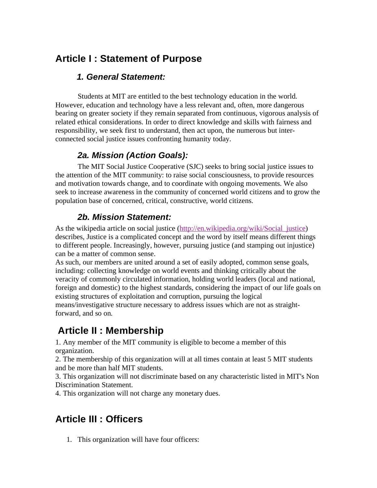## **Article I : Statement of Purpose**

#### *1. General Statement:*

 Students at MIT are entitled to the best technology education in the world. However, education and technology have a less relevant and, often, more dangerous bearing on greater society if they remain separated from continuous, vigorous analysis of related ethical considerations. In order to direct knowledge and skills with fairness and responsibility, we seek first to understand, then act upon, the numerous but interconnected social justice issues confronting humanity today.

#### *2a. Mission (Action Goals):*

 The MIT Social Justice Cooperative (SJC) seeks to bring social justice issues to the attention of the MIT community: to raise social consciousness, to provide resources and motivation towards change, and to coordinate with ongoing movements. We also seek to increase awareness in the community of concerned world citizens and to grow the population base of concerned, critical, constructive, world citizens.

#### *2b. Mission Statement:*

As the wikipedia article on social justice (http://en.wikipedia.org/wiki/Social\_justice) describes, Justice is a complicated concept and the word by itself means different things to different people. Increasingly, however, pursuing justice (and stamping out injustice) can be a matter of common sense.

As such, our members are united around a set of easily adopted, common sense goals, including: collecting knowledge on world events and thinking critically about the veracity of commonly circulated information, holding world leaders (local and national, foreign and domestic) to the highest standards, considering the impact of our life goals on existing structures of exploitation and corruption, pursuing the logical means/investigative structure necessary to address issues which are not as straightforward, and so on.

### **Article II : Membership**

1. Any member of the MIT community is eligible to become a member of this organization.

2. The membership of this organization will at all times contain at least 5 MIT students and be more than half MIT students.

3. This organization will not discriminate based on any characteristic listed in MIT's Non Discrimination Statement.

4. This organization will not charge any monetary dues.

# **Article III : Officers**

1. This organization will have four officers: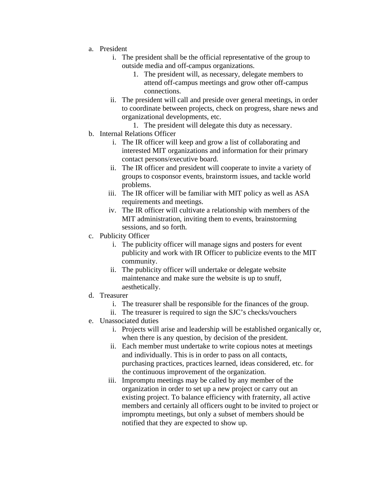- a. President
	- i. The president shall be the official representative of the group to outside media and off-campus organizations.
		- 1. The president will, as necessary, delegate members to attend off-campus meetings and grow other off-campus connections.
	- ii. The president will call and preside over general meetings, in order to coordinate between projects, check on progress, share news and organizational developments, etc.
		- 1. The president will delegate this duty as necessary.
- b. Internal Relations Officer
	- i. The IR officer will keep and grow a list of collaborating and interested MIT organizations and information for their primary contact persons/executive board.
	- ii. The IR officer and president will cooperate to invite a variety of groups to cosponsor events, brainstorm issues, and tackle world problems.
	- iii. The IR officer will be familiar with MIT policy as well as ASA requirements and meetings.
	- iv. The IR officer will cultivate a relationship with members of the MIT administration, inviting them to events, brainstorming sessions, and so forth.
- c. Publicity Officer
	- i. The publicity officer will manage signs and posters for event publicity and work with IR Officer to publicize events to the MIT community.
	- ii. The publicity officer will undertake or delegate website maintenance and make sure the website is up to snuff, aesthetically.
- d. Treasurer
	- i. The treasurer shall be responsible for the finances of the group.
	- ii. The treasurer is required to sign the SJC's checks/vouchers
- e. Unassociated duties
	- i. Projects will arise and leadership will be established organically or, when there is any question, by decision of the president.
	- ii. Each member must undertake to write copious notes at meetings and individually. This is in order to pass on all contacts, purchasing practices, practices learned, ideas considered, etc. for the continuous improvement of the organization.
	- iii. Impromptu meetings may be called by any member of the organization in order to set up a new project or carry out an existing project. To balance efficiency with fraternity, all active members and certainly all officers ought to be invited to project or impromptu meetings, but only a subset of members should be notified that they are expected to show up.